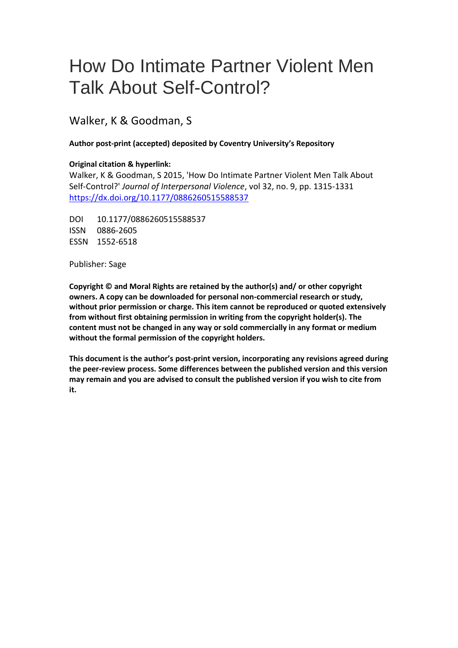# How Do Intimate Partner Violent Men Talk About Self-Control?

Walker, K & Goodman, S

# **Author post-print (accepted) deposited by Coventry University's Repository**

# **Original citation & hyperlink:**

Wal[ker, K & Goodman, S 2015, 'How Do Intimate Part](http://dx.doi.org/10.1177/0886260515588537)ner Violent Men Talk About Self-Control?' *Journal of Interpersonal Violence*, vol 32, no. 9, pp. 1315-1331 https://dx.doi.org/10.1177/0886260515588537

DOI 10.1177/0886260515588537 ISSN 0886-2605 ESSN 1552-6518

Publisher: Sage

**Copyright © and Moral Rights are retained by the author(s) and/ or other copyright owners. A copy can be downloaded for personal non-commercial research or study, without prior permission or charge. This item cannot be reproduced or quoted extensively from without first obtaining permission in writing from the copyright holder(s). The content must not be changed in any way or sold commercially in any format or medium without the formal permission of the copyright holders.** 

**This document is the author's post-print version, incorporating any revisions agreed during the peer-review process. Some differences between the published version and this version may remain and you are advised to consult the published version if you wish to cite from it.**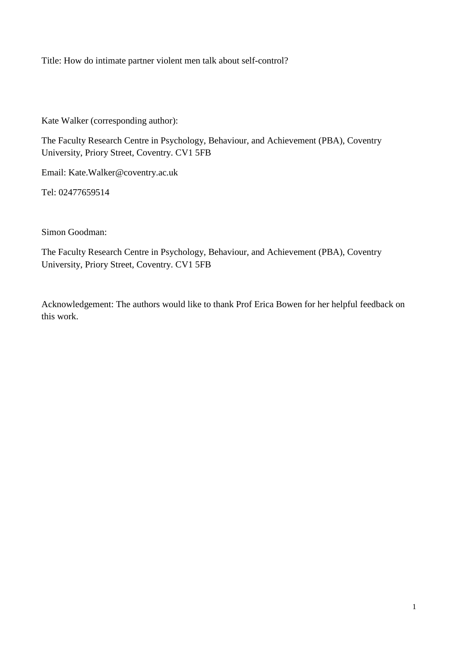Title: How do intimate partner violent men talk about self-control?

Kate Walker (corresponding author):

The Faculty Research Centre in Psychology, Behaviour, and Achievement (PBA), Coventry University, Priory Street, Coventry. CV1 5FB

Email: Kate.Walker@coventry.ac.uk

Tel: 02477659514

Simon Goodman:

The Faculty Research Centre in Psychology, Behaviour, and Achievement (PBA), Coventry University, Priory Street, Coventry. CV1 5FB

Acknowledgement: The authors would like to thank Prof Erica Bowen for her helpful feedback on this work.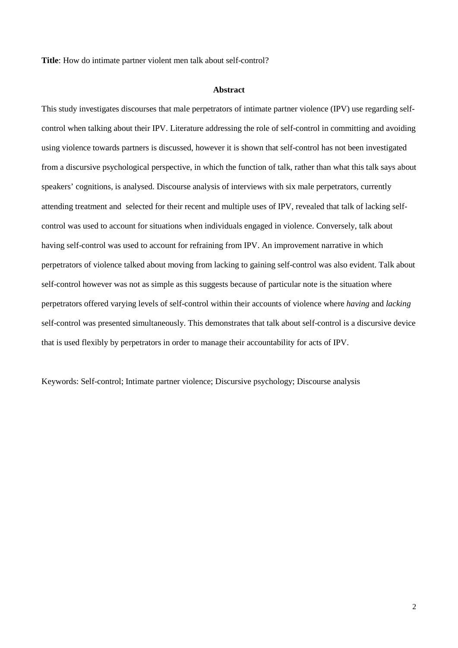**Title**: How do intimate partner violent men talk about self-control?

## **Abstract**

This study investigates discourses that male perpetrators of intimate partner violence (IPV) use regarding selfcontrol when talking about their IPV. Literature addressing the role of self-control in committing and avoiding using violence towards partners is discussed, however it is shown that self-control has not been investigated from a discursive psychological perspective, in which the function of talk, rather than what this talk says about speakers' cognitions, is analysed. Discourse analysis of interviews with six male perpetrators, currently attending treatment and selected for their recent and multiple uses of IPV, revealed that talk of lacking selfcontrol was used to account for situations when individuals engaged in violence. Conversely, talk about having self-control was used to account for refraining from IPV. An improvement narrative in which perpetrators of violence talked about moving from lacking to gaining self-control was also evident. Talk about self-control however was not as simple as this suggests because of particular note is the situation where perpetrators offered varying levels of self-control within their accounts of violence where *having* and *lacking* self-control was presented simultaneously. This demonstrates that talk about self-control is a discursive device that is used flexibly by perpetrators in order to manage their accountability for acts of IPV.

Keywords: Self-control; Intimate partner violence; Discursive psychology; Discourse analysis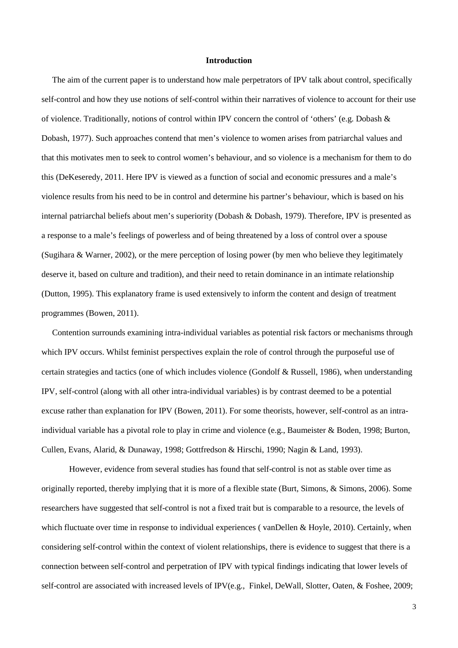#### **Introduction**

 The aim of the current paper is to understand how male perpetrators of IPV talk about control, specifically self-control and how they use notions of self-control within their narratives of violence to account for their use of violence. Traditionally, notions of control within IPV concern the control of 'others' (e.g. Dobash & Dobash, 1977). Such approaches contend that men's violence to women arises from patriarchal values and that this motivates men to seek to control women's behaviour, and so violence is a mechanism for them to do this (DeKeseredy, 2011. Here IPV is viewed as a function of social and economic pressures and a male's violence results from his need to be in control and determine his partner's behaviour, which is based on his internal patriarchal beliefs about men's superiority (Dobash & Dobash, 1979). Therefore, IPV is presented as a response to a male's feelings of powerless and of being threatened by a loss of control over a spouse (Sugihara & Warner, 2002), or the mere perception of losing power (by men who believe they legitimately deserve it, based on culture and tradition), and their need to retain dominance in an intimate relationship (Dutton, 1995). This explanatory frame is used extensively to inform the content and design of treatment programmes (Bowen, 2011).

 Contention surrounds examining intra-individual variables as potential risk factors or mechanisms through which IPV occurs. Whilst feminist perspectives explain the role of control through the purposeful use of certain strategies and tactics (one of which includes violence (Gondolf & Russell, 1986), when understanding IPV, self-control (along with all other intra-individual variables) is by contrast deemed to be a potential excuse rather than explanation for IPV (Bowen, 2011). For some theorists, however, self-control as an intraindividual variable has a pivotal role to play in crime and violence (e.g., Baumeister & Boden, 1998; Burton, Cullen, Evans, Alarid, & Dunaway, 1998; Gottfredson & Hirschi, 1990; Nagin & Land, 1993).

However, evidence from several studies has found that self-control is not as stable over time as originally reported, thereby implying that it is more of a flexible state (Burt, Simons, & Simons, 2006). Some researchers have suggested that self-control is not a fixed trait but is comparable to a resource, the levels of which fluctuate over time in response to individual experiences (vanDellen & Hoyle, 2010). Certainly, when considering self-control within the context of violent relationships, there is evidence to suggest that there is a connection between self-control and perpetration of IPV with typical findings indicating that lower levels of self-control are associated with increased levels of IPV(e.g., Finkel, DeWall, Slotter, Oaten, & Foshee, 2009;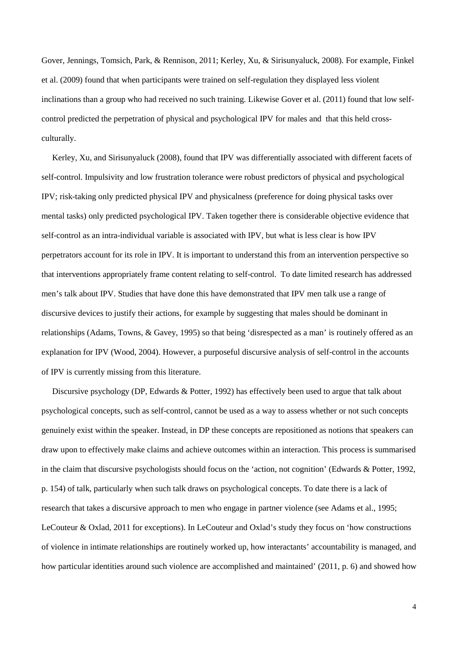Gover, Jennings, Tomsich, Park, & Rennison, 2011; Kerley, Xu, & Sirisunyaluck, 2008). For example, Finkel et al. (2009) found that when participants were trained on self-regulation they displayed less violent inclinations than a group who had received no such training. Likewise Gover et al. (2011) found that low selfcontrol predicted the perpetration of physical and psychological IPV for males and that this held crossculturally.

 Kerley, Xu, and Sirisunyaluck (2008), found that IPV was differentially associated with different facets of self-control. Impulsivity and low frustration tolerance were robust predictors of physical and psychological IPV; risk-taking only predicted physical IPV and physicalness (preference for doing physical tasks over mental tasks) only predicted psychological IPV. Taken together there is considerable objective evidence that self-control as an intra-individual variable is associated with IPV, but what is less clear is how IPV perpetrators account for its role in IPV. It is important to understand this from an intervention perspective so that interventions appropriately frame content relating to self-control. To date limited research has addressed men's talk about IPV. Studies that have done this have demonstrated that IPV men talk use a range of discursive devices to justify their actions, for example by suggesting that males should be dominant in relationships (Adams, Towns, & Gavey, 1995) so that being 'disrespected as a man' is routinely offered as an explanation for IPV (Wood, 2004). However, a purposeful discursive analysis of self-control in the accounts of IPV is currently missing from this literature.

 Discursive psychology (DP, Edwards & Potter, 1992) has effectively been used to argue that talk about psychological concepts, such as self-control, cannot be used as a way to assess whether or not such concepts genuinely exist within the speaker. Instead, in DP these concepts are repositioned as notions that speakers can draw upon to effectively make claims and achieve outcomes within an interaction. This process is summarised in the claim that discursive psychologists should focus on the 'action, not cognition' (Edwards & Potter, 1992, p. 154) of talk, particularly when such talk draws on psychological concepts. To date there is a lack of research that takes a discursive approach to men who engage in partner violence (see Adams et al., 1995; LeCouteur & Oxlad, 2011 for exceptions). In LeCouteur and Oxlad's study they focus on 'how constructions of violence in intimate relationships are routinely worked up, how interactants' accountability is managed, and how particular identities around such violence are accomplished and maintained' (2011, p. 6) and showed how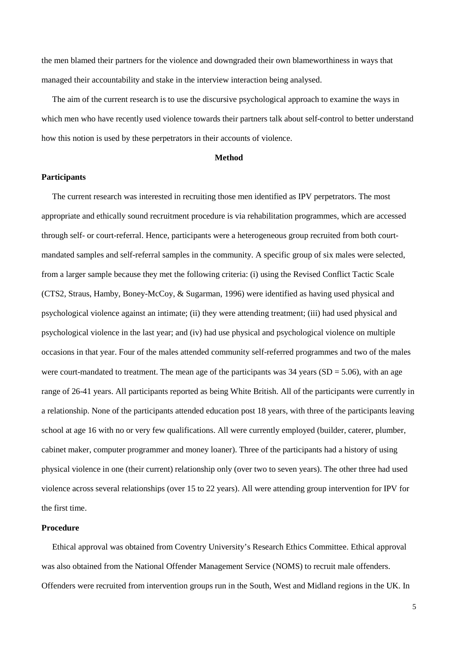the men blamed their partners for the violence and downgraded their own blameworthiness in ways that managed their accountability and stake in the interview interaction being analysed.

 The aim of the current research is to use the discursive psychological approach to examine the ways in which men who have recently used violence towards their partners talk about self-control to better understand how this notion is used by these perpetrators in their accounts of violence.

### **Method**

## **Participants**

 The current research was interested in recruiting those men identified as IPV perpetrators. The most appropriate and ethically sound recruitment procedure is via rehabilitation programmes, which are accessed through self- or court-referral. Hence, participants were a heterogeneous group recruited from both courtmandated samples and self-referral samples in the community. A specific group of six males were selected, from a larger sample because they met the following criteria: (i) using the Revised Conflict Tactic Scale (CTS2, Straus, Hamby, Boney-McCoy, & Sugarman, 1996) were identified as having used physical and psychological violence against an intimate; (ii) they were attending treatment; (iii) had used physical and psychological violence in the last year; and (iv) had use physical and psychological violence on multiple occasions in that year. Four of the males attended community self-referred programmes and two of the males were court-mandated to treatment. The mean age of the participants was  $34$  years (SD = 5.06), with an age range of 26-41 years. All participants reported as being White British. All of the participants were currently in a relationship. None of the participants attended education post 18 years, with three of the participants leaving school at age 16 with no or very few qualifications. All were currently employed (builder, caterer, plumber, cabinet maker, computer programmer and money loaner). Three of the participants had a history of using physical violence in one (their current) relationship only (over two to seven years). The other three had used violence across several relationships (over 15 to 22 years). All were attending group intervention for IPV for the first time.

# **Procedure**

 Ethical approval was obtained from Coventry University's Research Ethics Committee. Ethical approval was also obtained from the National Offender Management Service (NOMS) to recruit male offenders. Offenders were recruited from intervention groups run in the South, West and Midland regions in the UK. In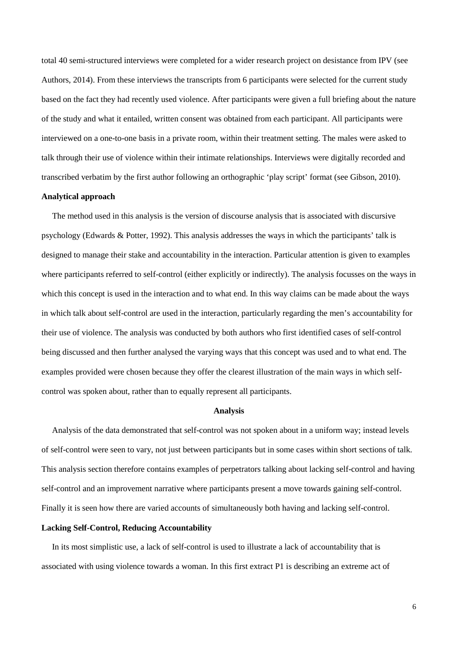total 40 semi-structured interviews were completed for a wider research project on desistance from IPV (see Authors, 2014). From these interviews the transcripts from 6 participants were selected for the current study based on the fact they had recently used violence. After participants were given a full briefing about the nature of the study and what it entailed, written consent was obtained from each participant. All participants were interviewed on a one-to-one basis in a private room, within their treatment setting. The males were asked to talk through their use of violence within their intimate relationships. Interviews were digitally recorded and transcribed verbatim by the first author following an orthographic 'play script' format (see Gibson, 2010).

## **Analytical approach**

 The method used in this analysis is the version of discourse analysis that is associated with discursive psychology (Edwards & Potter, 1992). This analysis addresses the ways in which the participants' talk is designed to manage their stake and accountability in the interaction. Particular attention is given to examples where participants referred to self-control (either explicitly or indirectly). The analysis focusses on the ways in which this concept is used in the interaction and to what end. In this way claims can be made about the ways in which talk about self-control are used in the interaction, particularly regarding the men's accountability for their use of violence. The analysis was conducted by both authors who first identified cases of self-control being discussed and then further analysed the varying ways that this concept was used and to what end. The examples provided were chosen because they offer the clearest illustration of the main ways in which selfcontrol was spoken about, rather than to equally represent all participants.

#### **Analysis**

 Analysis of the data demonstrated that self-control was not spoken about in a uniform way; instead levels of self-control were seen to vary, not just between participants but in some cases within short sections of talk. This analysis section therefore contains examples of perpetrators talking about lacking self-control and having self-control and an improvement narrative where participants present a move towards gaining self-control. Finally it is seen how there are varied accounts of simultaneously both having and lacking self-control.

# **Lacking Self-Control, Reducing Accountability**

 In its most simplistic use, a lack of self-control is used to illustrate a lack of accountability that is associated with using violence towards a woman. In this first extract P1 is describing an extreme act of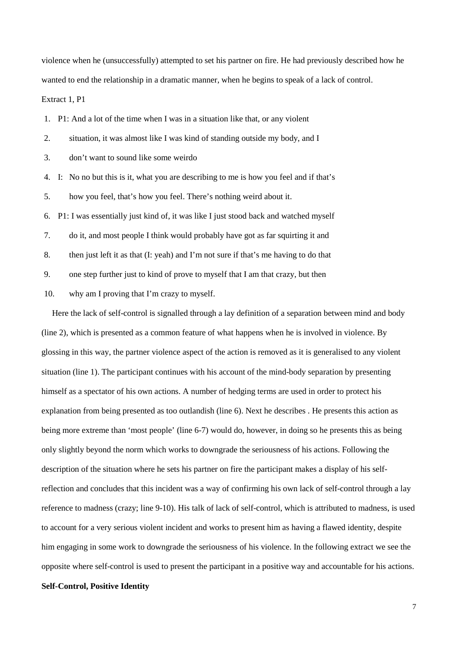violence when he (unsuccessfully) attempted to set his partner on fire. He had previously described how he wanted to end the relationship in a dramatic manner, when he begins to speak of a lack of control. Extract 1, P1

1. P1: And a lot of the time when I was in a situation like that, or any violent

2. situation, it was almost like I was kind of standing outside my body, and I

3. don't want to sound like some weirdo

4. I: No no but this is it, what you are describing to me is how you feel and if that's

5. how you feel, that's how you feel. There's nothing weird about it.

6. P1: I was essentially just kind of, it was like I just stood back and watched myself

7. do it, and most people I think would probably have got as far squirting it and

8. then just left it as that (I: yeah) and I'm not sure if that's me having to do that

9. one step further just to kind of prove to myself that I am that crazy, but then

10. why am I proving that I'm crazy to myself.

 Here the lack of self-control is signalled through a lay definition of a separation between mind and body (line 2), which is presented as a common feature of what happens when he is involved in violence. By glossing in this way, the partner violence aspect of the action is removed as it is generalised to any violent situation (line 1). The participant continues with his account of the mind-body separation by presenting himself as a spectator of his own actions. A number of hedging terms are used in order to protect his explanation from being presented as too outlandish (line 6). Next he describes . He presents this action as being more extreme than 'most people' (line 6-7) would do, however, in doing so he presents this as being only slightly beyond the norm which works to downgrade the seriousness of his actions. Following the description of the situation where he sets his partner on fire the participant makes a display of his selfreflection and concludes that this incident was a way of confirming his own lack of self-control through a lay reference to madness (crazy; line 9-10). His talk of lack of self-control, which is attributed to madness, is used to account for a very serious violent incident and works to present him as having a flawed identity, despite him engaging in some work to downgrade the seriousness of his violence. In the following extract we see the opposite where self-control is used to present the participant in a positive way and accountable for his actions.

# **Self-Control, Positive Identity**

7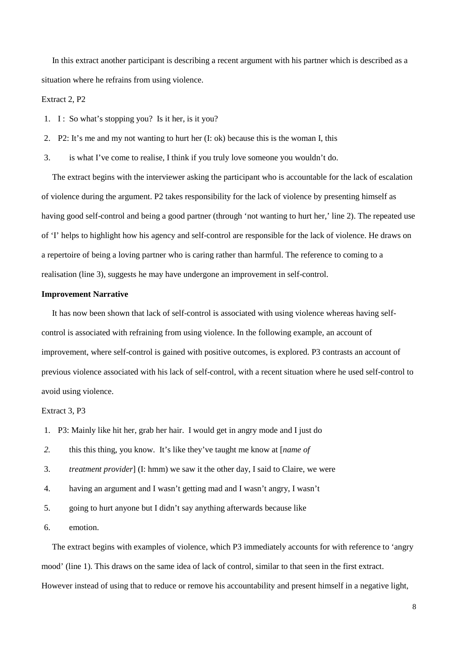In this extract another participant is describing a recent argument with his partner which is described as a situation where he refrains from using violence.

# Extract 2, P2

- 1. I: So what's stopping you? Is it her, is it you?
- 2. P2: It's me and my not wanting to hurt her (I: ok) because this is the woman I, this
- 3. is what I've come to realise, I think if you truly love someone you wouldn't do.

 The extract begins with the interviewer asking the participant who is accountable for the lack of escalation of violence during the argument. P2 takes responsibility for the lack of violence by presenting himself as having good self-control and being a good partner (through 'not wanting to hurt her,' line 2). The repeated use of 'I' helps to highlight how his agency and self-control are responsible for the lack of violence. He draws on a repertoire of being a loving partner who is caring rather than harmful. The reference to coming to a realisation (line 3), suggests he may have undergone an improvement in self-control.

# **Improvement Narrative**

 It has now been shown that lack of self-control is associated with using violence whereas having selfcontrol is associated with refraining from using violence. In the following example, an account of improvement, where self-control is gained with positive outcomes, is explored. P3 contrasts an account of previous violence associated with his lack of self-control, with a recent situation where he used self-control to avoid using violence.

# Extract 3, P3

- 1. P3: Mainly like hit her, grab her hair. I would get in angry mode and I just do
- *2.* this this thing, you know. It's like they've taught me know at [*name of*
- 3. *treatment provider*] (I: hmm) we saw it the other day, I said to Claire, we were
- 4. having an argument and I wasn't getting mad and I wasn't angry, I wasn't
- 5. going to hurt anyone but I didn't say anything afterwards because like
- 6. emotion.

 The extract begins with examples of violence, which P3 immediately accounts for with reference to 'angry mood' (line 1). This draws on the same idea of lack of control, similar to that seen in the first extract. However instead of using that to reduce or remove his accountability and present himself in a negative light,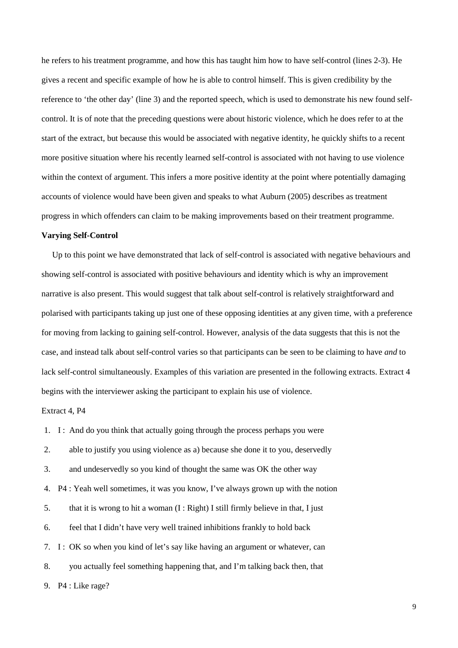he refers to his treatment programme, and how this has taught him how to have self-control (lines 2-3). He gives a recent and specific example of how he is able to control himself. This is given credibility by the reference to 'the other day' (line 3) and the reported speech, which is used to demonstrate his new found selfcontrol. It is of note that the preceding questions were about historic violence, which he does refer to at the start of the extract, but because this would be associated with negative identity, he quickly shifts to a recent more positive situation where his recently learned self-control is associated with not having to use violence within the context of argument. This infers a more positive identity at the point where potentially damaging accounts of violence would have been given and speaks to what Auburn (2005) describes as treatment progress in which offenders can claim to be making improvements based on their treatment programme.

#### **Varying Self-Control**

 Up to this point we have demonstrated that lack of self-control is associated with negative behaviours and showing self-control is associated with positive behaviours and identity which is why an improvement narrative is also present. This would suggest that talk about self-control is relatively straightforward and polarised with participants taking up just one of these opposing identities at any given time, with a preference for moving from lacking to gaining self-control. However, analysis of the data suggests that this is not the case, and instead talk about self-control varies so that participants can be seen to be claiming to have *and* to lack self-control simultaneously. Examples of this variation are presented in the following extracts. Extract 4 begins with the interviewer asking the participant to explain his use of violence.

Extract 4, P4

1. I: And do you think that actually going through the process perhaps you were

2. able to justify you using violence as a) because she done it to you, deservedly

3. and undeservedly so you kind of thought the same was OK the other way

4. P4 : Yeah well sometimes, it was you know, I've always grown up with the notion

5. that it is wrong to hit a woman (I : Right) I still firmly believe in that, I just

6. feel that I didn't have very well trained inhibitions frankly to hold back

7. I: OK so when you kind of let's say like having an argument or whatever, can

8. you actually feel something happening that, and I'm talking back then, that

9. P4 : Like rage?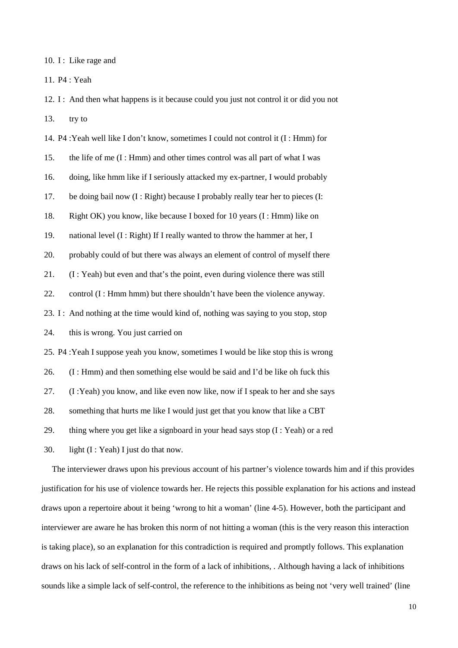10. I : Like rage and

11. P4 : Yeah

12. I : And then what happens is it because could you just not control it or did you not 13. try to

14. P4 :Yeah well like I don't know, sometimes I could not control it (I : Hmm) for 15. the life of me (I : Hmm) and other times control was all part of what I was 16. doing, like hmm like if I seriously attacked my ex-partner, I would probably 17. be doing bail now (I : Right) because I probably really tear her to pieces (I: 18. Right OK) you know, like because I boxed for 10 years (I : Hmm) like on 19. national level (I : Right) If I really wanted to throw the hammer at her, I 20. probably could of but there was always an element of control of myself there 21. (I : Yeah) but even and that's the point, even during violence there was still 22. control (I : Hmm hmm) but there shouldn't have been the violence anyway. 23. I : And nothing at the time would kind of, nothing was saying to you stop, stop 24. this is wrong. You just carried on 25. P4 :Yeah I suppose yeah you know, sometimes I would be like stop this is wrong 26. (I : Hmm) and then something else would be said and I'd be like oh fuck this 27. (I :Yeah) you know, and like even now like, now if I speak to her and she says 28. something that hurts me like I would just get that you know that like a CBT 29. thing where you get like a signboard in your head says stop  $(I : Yeah)$  or a red 30. light (I : Yeah) I just do that now.

 The interviewer draws upon his previous account of his partner's violence towards him and if this provides justification for his use of violence towards her. He rejects this possible explanation for his actions and instead draws upon a repertoire about it being 'wrong to hit a woman' (line 4-5). However, both the participant and interviewer are aware he has broken this norm of not hitting a woman (this is the very reason this interaction is taking place), so an explanation for this contradiction is required and promptly follows. This explanation draws on his lack of self-control in the form of a lack of inhibitions, . Although having a lack of inhibitions sounds like a simple lack of self-control, the reference to the inhibitions as being not 'very well trained' (line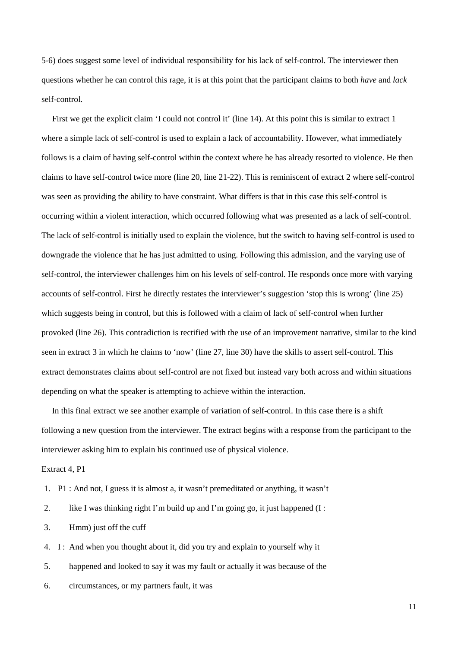5-6) does suggest some level of individual responsibility for his lack of self-control. The interviewer then questions whether he can control this rage, it is at this point that the participant claims to both *have* and *lack* self-control.

 First we get the explicit claim 'I could not control it' (line 14). At this point this is similar to extract 1 where a simple lack of self-control is used to explain a lack of accountability. However, what immediately follows is a claim of having self-control within the context where he has already resorted to violence. He then claims to have self-control twice more (line 20, line 21-22). This is reminiscent of extract 2 where self-control was seen as providing the ability to have constraint. What differs is that in this case this self-control is occurring within a violent interaction, which occurred following what was presented as a lack of self-control. The lack of self-control is initially used to explain the violence, but the switch to having self-control is used to downgrade the violence that he has just admitted to using. Following this admission, and the varying use of self-control, the interviewer challenges him on his levels of self-control. He responds once more with varying accounts of self-control. First he directly restates the interviewer's suggestion 'stop this is wrong' (line 25) which suggests being in control, but this is followed with a claim of lack of self-control when further provoked (line 26). This contradiction is rectified with the use of an improvement narrative, similar to the kind seen in extract 3 in which he claims to 'now' (line 27, line 30) have the skills to assert self-control. This extract demonstrates claims about self-control are not fixed but instead vary both across and within situations depending on what the speaker is attempting to achieve within the interaction.

 In this final extract we see another example of variation of self-control. In this case there is a shift following a new question from the interviewer. The extract begins with a response from the participant to the interviewer asking him to explain his continued use of physical violence.

Extract 4, P1

- 1. P1 : And not, I guess it is almost a, it wasn't premeditated or anything, it wasn't
- 2. like I was thinking right I'm build up and I'm going go, it just happened (I :
- 3. Hmm) just off the cuff
- 4. I: And when you thought about it, did you try and explain to yourself why it
- 5. happened and looked to say it was my fault or actually it was because of the
- 6. circumstances, or my partners fault, it was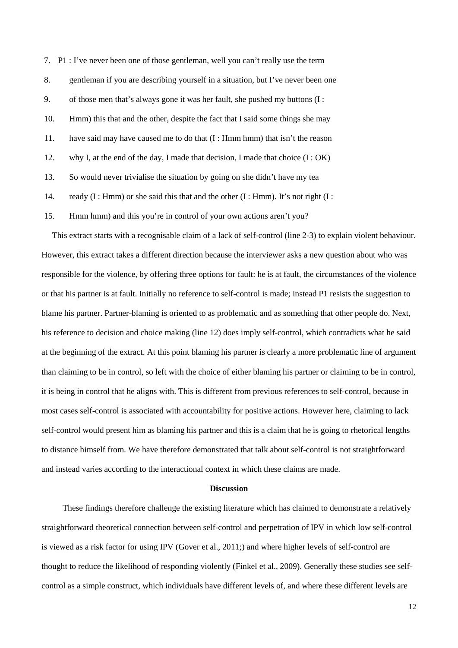7. P1 : I've never been one of those gentleman, well you can't really use the term 8. gentleman if you are describing yourself in a situation, but I've never been one 9. of those men that's always gone it was her fault, she pushed my buttons (I : 10. Hmm) this that and the other, despite the fact that I said some things she may 11. have said may have caused me to do that (I : Hmm hmm) that isn't the reason 12. why I, at the end of the day, I made that decision, I made that choice (I : OK) 13. So would never trivialise the situation by going on she didn't have my tea 14. ready  $(I : Hmm)$  or she said this that and the other  $(I : Hmm)$ . It's not right  $(I : Hmm)$ 15. Hmm hmm) and this you're in control of your own actions aren't you?

 This extract starts with a recognisable claim of a lack of self-control (line 2-3) to explain violent behaviour. However, this extract takes a different direction because the interviewer asks a new question about who was responsible for the violence, by offering three options for fault: he is at fault, the circumstances of the violence or that his partner is at fault. Initially no reference to self-control is made; instead P1 resists the suggestion to blame his partner. Partner-blaming is oriented to as problematic and as something that other people do. Next, his reference to decision and choice making (line 12) does imply self-control, which contradicts what he said at the beginning of the extract. At this point blaming his partner is clearly a more problematic line of argument than claiming to be in control, so left with the choice of either blaming his partner or claiming to be in control, it is being in control that he aligns with. This is different from previous references to self-control, because in most cases self-control is associated with accountability for positive actions. However here, claiming to lack self-control would present him as blaming his partner and this is a claim that he is going to rhetorical lengths to distance himself from. We have therefore demonstrated that talk about self-control is not straightforward and instead varies according to the interactional context in which these claims are made.

# **Discussion**

 These findings therefore challenge the existing literature which has claimed to demonstrate a relatively straightforward theoretical connection between self-control and perpetration of IPV in which low self-control is viewed as a risk factor for using IPV (Gover et al., 2011;) and where higher levels of self-control are thought to reduce the likelihood of responding violently (Finkel et al., 2009). Generally these studies see selfcontrol as a simple construct, which individuals have different levels of, and where these different levels are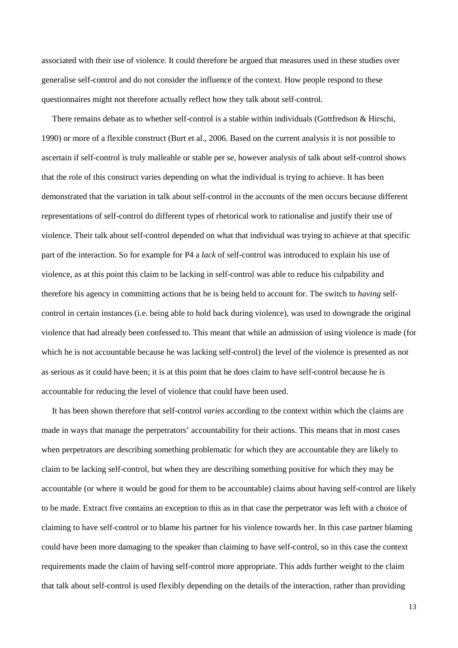associated with their use of violence. It could therefore be argued that measures used in these studies over generalise self-control and do not consider the influence of the context. How people respond to these questionnaires might not therefore actually reflect how they talk about self-control.

 There remains debate as to whether self-control is a stable within individuals (Gottfredson & Hirschi, 1990) or more of a flexible construct (Burt et al., 2006. Based on the current analysis it is not possible to ascertain if self-control is truly malleable or stable per se, however analysis of talk about self-control shows that the role of this construct varies depending on what the individual is trying to achieve. It has been demonstrated that the variation in talk about self-control in the accounts of the men occurs because different representations of self-control do different types of rhetorical work to rationalise and justify their use of violence. Their talk about self-control depended on what that individual was trying to achieve at that specific part of the interaction. So for example for P4 a *lack* of self-control was introduced to explain his use of violence, as at this point this claim to be lacking in self-control was able to reduce his culpability and therefore his agency in committing actions that he is being held to account for. The switch to *having* selfcontrol in certain instances (i.e. being able to hold back during violence), was used to downgrade the original violence that had already been confessed to. This meant that while an admission of using violence is made (for which he is not accountable because he was lacking self-control) the level of the violence is presented as not as serious as it could have been; it is at this point that he does claim to have self-control because he is accountable for reducing the level of violence that could have been used.

 It has been shown therefore that self-control *varies* according to the context within which the claims are made in ways that manage the perpetrators' accountability for their actions. This means that in most cases when perpetrators are describing something problematic for which they are accountable they are likely to claim to be lacking self-control, but when they are describing something positive for which they may be accountable (or where it would be good for them to be accountable) claims about having self-control are likely to be made. Extract five contains an exception to this as in that case the perpetrator was left with a choice of claiming to have self-control or to blame his partner for his violence towards her. In this case partner blaming could have been more damaging to the speaker than claiming to have self-control, so in this case the context requirements made the claim of having self-control more appropriate. This adds further weight to the claim that talk about self-control is used flexibly depending on the details of the interaction, rather than providing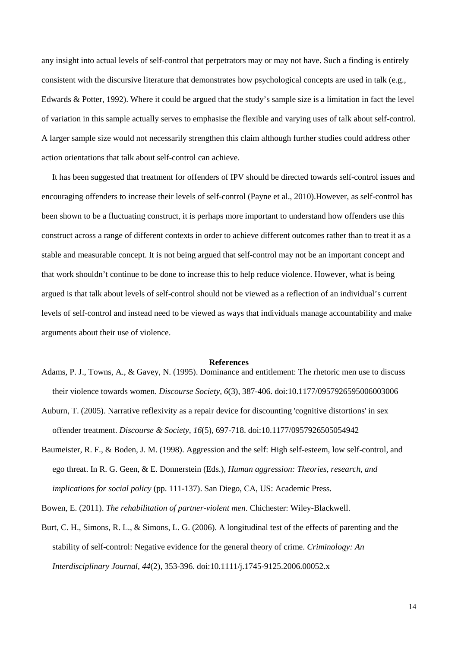any insight into actual levels of self-control that perpetrators may or may not have. Such a finding is entirely consistent with the discursive literature that demonstrates how psychological concepts are used in talk (e.g., Edwards & Potter, 1992). Where it could be argued that the study's sample size is a limitation in fact the level of variation in this sample actually serves to emphasise the flexible and varying uses of talk about self-control. A larger sample size would not necessarily strengthen this claim although further studies could address other action orientations that talk about self-control can achieve.

 It has been suggested that treatment for offenders of IPV should be directed towards self-control issues and encouraging offenders to increase their levels of self-control (Payne et al., 2010).However, as self-control has been shown to be a fluctuating construct, it is perhaps more important to understand how offenders use this construct across a range of different contexts in order to achieve different outcomes rather than to treat it as a stable and measurable concept. It is not being argued that self-control may not be an important concept and that work shouldn't continue to be done to increase this to help reduce violence. However, what is being argued is that talk about levels of self-control should not be viewed as a reflection of an individual's current levels of self-control and instead need to be viewed as ways that individuals manage accountability and make arguments about their use of violence.

#### **References**

- Adams, P. J., Towns, A., & Gavey, N. (1995). Dominance and entitlement: The rhetoric men use to discuss their violence towards women. *Discourse Society, 6*(3), 387-406. doi:10.1177/0957926595006003006
- Auburn, T. (2005). Narrative reflexivity as a repair device for discounting 'cognitive distortions' in sex offender treatment. *Discourse & Society, 16*(5), 697-718. doi:10.1177/0957926505054942
- Baumeister, R. F., & Boden, J. M. (1998). Aggression and the self: High self-esteem, low self-control, and ego threat. In R. G. Geen, & E. Donnerstein (Eds.), *Human aggression: Theories, research, and implications for social policy* (pp. 111-137). San Diego, CA, US: Academic Press.

Bowen, E. (2011). *The rehabilitation of partner-violent men*. Chichester: Wiley-Blackwell.

Burt, C. H., Simons, R. L., & Simons, L. G. (2006). A longitudinal test of the effects of parenting and the stability of self-control: Negative evidence for the general theory of crime. *Criminology: An Interdisciplinary Journal, 44*(2), 353-396. doi:10.1111/j.1745-9125.2006.00052.x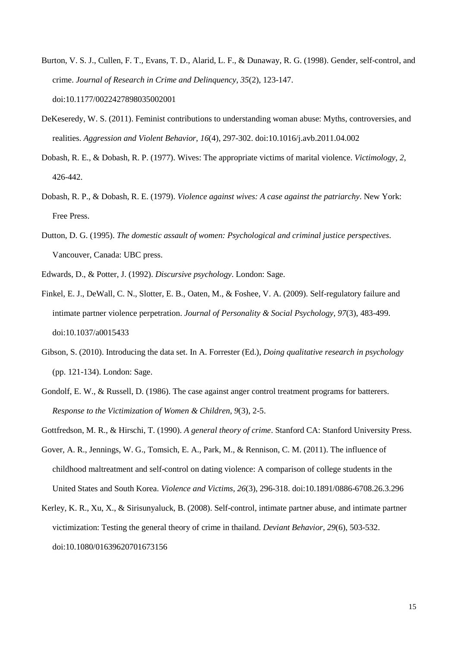- Burton, V. S. J., Cullen, F. T., Evans, T. D., Alarid, L. F., & Dunaway, R. G. (1998). Gender, self-control, and crime. *Journal of Research in Crime and Delinquency, 35*(2), 123-147. doi:10.1177/0022427898035002001
- DeKeseredy, W. S. (2011). Feminist contributions to understanding woman abuse: Myths, controversies, and realities. *Aggression and Violent Behavior, 16*(4), 297-302. doi:10.1016/j.avb.2011.04.002
- Dobash, R. E., & Dobash, R. P. (1977). Wives: The appropriate victims of marital violence. *Victimology, 2*, 426-442.
- Dobash, R. P., & Dobash, R. E. (1979). *Violence against wives: A case against the patriarchy*. New York: Free Press.
- Dutton, D. G. (1995). *The domestic assault of women: Psychological and criminal justice perspectives*. Vancouver, Canada: UBC press.
- Edwards, D., & Potter, J. (1992). *Discursive psychology*. London: Sage.
- Finkel, E. J., DeWall, C. N., Slotter, E. B., Oaten, M., & Foshee, V. A. (2009). Self-regulatory failure and intimate partner violence perpetration. *Journal of Personality & Social Psychology, 97*(3), 483-499. doi:10.1037/a0015433
- Gibson, S. (2010). Introducing the data set. In A. Forrester (Ed.), *Doing qualitative research in psychology* (pp. 121-134). London: Sage.
- Gondolf, E. W., & Russell, D. (1986). The case against anger control treatment programs for batterers. *Response to the Victimization of Women & Children, 9*(3), 2-5.

Gottfredson, M. R., & Hirschi, T. (1990). *A general theory of crime*. Stanford CA: Stanford University Press.

- Gover, A. R., Jennings, W. G., Tomsich, E. A., Park, M., & Rennison, C. M. (2011). The influence of childhood maltreatment and self-control on dating violence: A comparison of college students in the United States and South Korea. *Violence and Victims, 26*(3), 296-318. doi:10.1891/0886-6708.26.3.296
- Kerley, K. R., Xu, X., & Sirisunyaluck, B. (2008). Self-control, intimate partner abuse, and intimate partner victimization: Testing the general theory of crime in thailand. *Deviant Behavior, 29*(6), 503-532. doi:10.1080/01639620701673156